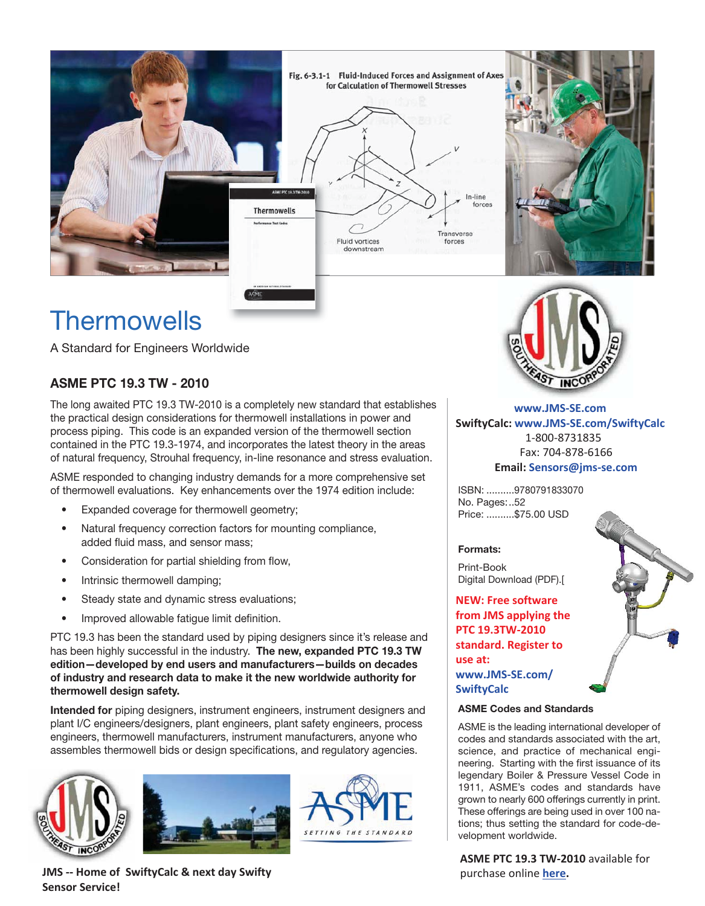

# **Thermowells**

A Standard for Engineers Worldwide

### **ASME PTC 19.3 TW - 2010**

The long awaited PTC 19.3 TW-2010 is a completely new standard that establishes the practical design considerations for thermowell installations in power and process piping. This code is an expanded version of the thermowell section contained in the PTC 19.3-1974, and incorporates the latest theory in the areas of natural frequency, Strouhal frequency, in-line resonance and stress evaluation.

ASME responded to changing industry demands for a more comprehensive set of thermowell evaluations. Key enhancements over the 1974 edition include:

- Expanded coverage for thermowell geometry;
- Natural frequency correction factors for mounting compliance, added fluid mass, and sensor mass;
- Consideration for partial shielding from flow,
- Intrinsic thermowell damping;
- Steady state and dynamic stress evaluations;
- Improved allowable fatigue limit definition.

PTC 19.3 has been the standard used by piping designers since it's release and has been highly successful in the industry. **The new, expanded PTC 19.3 TW edition—developed by end users and manufacturers—builds on decades of industry and research data to make it the new worldwide authority for thermowell design safety.**

**Intended for** piping designers, instrument engineers, instrument designers and plant I/C engineers/designers, plant engineers, plant safety engineers, process engineers, thermowell manufacturers, instrument manufacturers, anyone who assembles thermowell bids or design specifications, and regulatory agencies.







**JMS -- Home of SwiftyCalc & next day Swifty Sensor Service!**



**Description: Email: Sensors@jms-se.com www.JMS-SE.com SwiftyCalc: www.JMS-SE.com/SwiftyCalc**  1-800-8731835 Fax: 704-878-6166

ISBN: ..........9780791833070 No. Pages:..52 Price: ..........\$75.00 USD

#### **Formats:**

Print-Book Digital Download (PDF).[

**NEW: Free software from JMS applying the PTC 19.3TW-2010 standard. Register to use at: [www.JMS-SE.com/](http://www.jms-se.com/Apps/Tools/ThermowellDesign/Home.aspx) SwiftyCalc** 

#### **ASME Codes and Standards**

ASME is the leading international developer of codes and standards associated with the art, science, and practice of mechanical engineering. Starting with the first issuance of its legendary Boiler & Pressure Vessel Code in 1911, ASME's codes and standards have grown to nearly 600 offerings currently in print. These offerings are being used in over 100 nations; thus setting the standard for code-development worldwide.

**ASME PTC 19.3 TW-2010** available for purchase online **[here.](http://catalog.asme.org/Codes/PrintBook/PTC_193_TW_2010_Thermowells.cfm)**